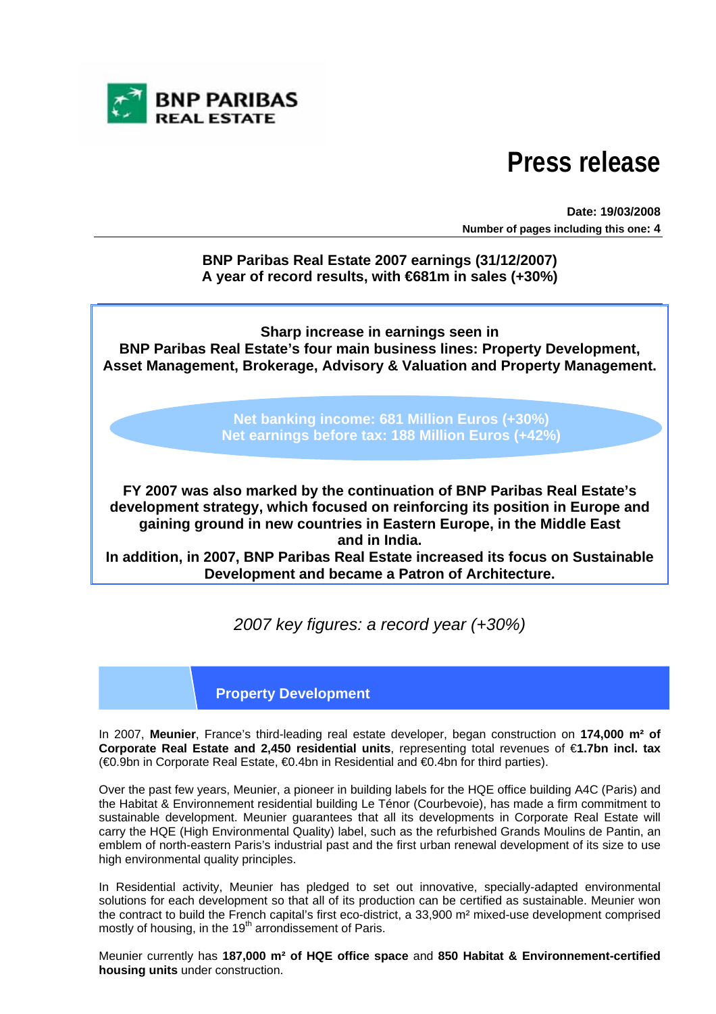

# **Press release**

**Date: 19/03/2008 Number of pages including this one: 4**

**BNP Paribas Real Estate 2007 earnings (31/12/2007) A year of record results, with €681m in sales (+30%)** 

**Sharp increase in earnings seen in BNP Paribas Real Estate's four main business lines: Property Development, Asset Management, Brokerage, Advisory & Valuation and Property Management.** 

> **Net banking income: 681 Million Euros (+30%) Net earnings before tax: 188 Million Euros (+42%)**

**FY 2007 was also marked by the continuation of BNP Paribas Real Estate's development strategy, which focused on reinforcing its position in Europe and gaining ground in new countries in Eastern Europe, in the Middle East and in India.** 

**In addition, in 2007, BNP Paribas Real Estate increased its focus on Sustainable Development and became a Patron of Architecture.** 

*2007 key figures: a record year (+30%)* 

### **Property Development**

In 2007, **Meunier**, France's third-leading real estate developer, began construction on **174,000 m² of Corporate Real Estate and 2,450 residential units**, representing total revenues of €**1.7bn incl. tax**  (€0.9bn in Corporate Real Estate, €0.4bn in Residential and €0.4bn for third parties).

Over the past few years, Meunier, a pioneer in building labels for the HQE office building A4C (Paris) and the Habitat & Environnement residential building Le Ténor (Courbevoie), has made a firm commitment to sustainable development. Meunier guarantees that all its developments in Corporate Real Estate will carry the HQE (High Environmental Quality) label, such as the refurbished Grands Moulins de Pantin, an emblem of north-eastern Paris's industrial past and the first urban renewal development of its size to use high environmental quality principles.

In Residential activity, Meunier has pledged to set out innovative, specially-adapted environmental solutions for each development so that all of its production can be certified as sustainable. Meunier won the contract to build the French capital's first eco-district, a 33,900 m² mixed-use development comprised mostly of housing, in the  $19<sup>th</sup>$  arrondissement of Paris.

Meunier currently has **187,000 m² of HQE office space** and **850 Habitat & Environnement-certified housing units** under construction.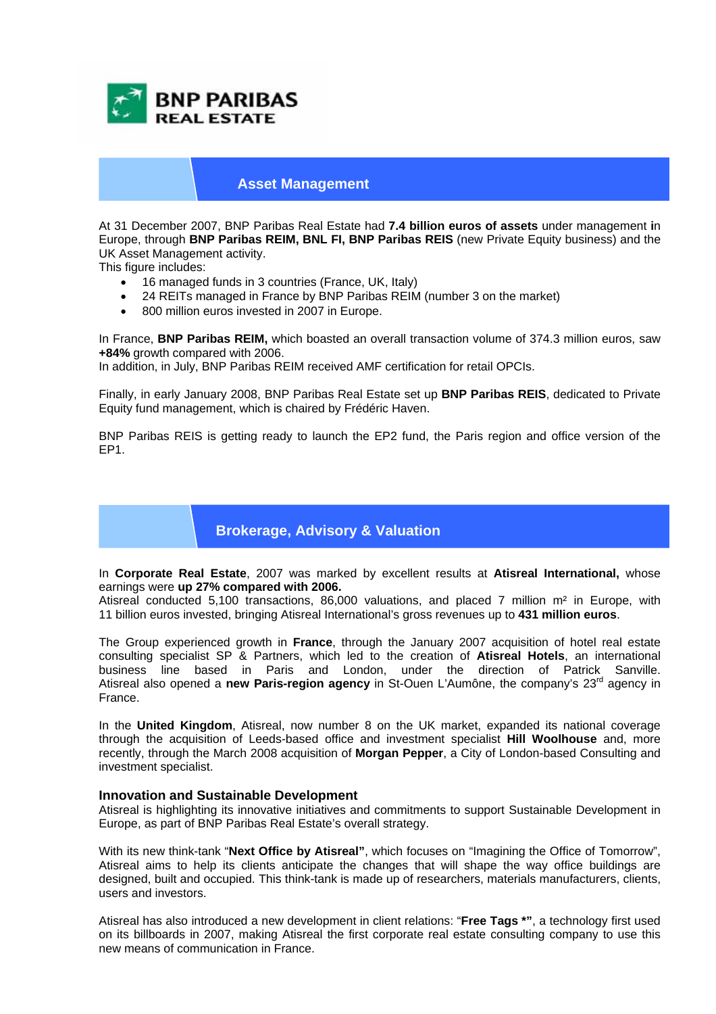

#### **Asset Management**

At 31 December 2007, BNP Paribas Real Estate had **7.4 billion euros of assets** under management **i**n Europe, through **BNP Paribas REIM, BNL FI, BNP Paribas REIS** (new Private Equity business) and the UK Asset Management activity.

This figure includes:

- 16 managed funds in 3 countries (France, UK, Italy)
- 24 REITs managed in France by BNP Paribas REIM (number 3 on the market)
- 800 million euros invested in 2007 in Europe.

In France, **BNP Paribas REIM,** which boasted an overall transaction volume of 374.3 million euros, saw **+84%** growth compared with 2006.

In addition, in July, BNP Paribas REIM received AMF certification for retail OPCIs.

Finally, in early January 2008, BNP Paribas Real Estate set up **BNP Paribas REIS**, dedicated to Private Equity fund management, which is chaired by Frédéric Haven.

BNP Paribas REIS is getting ready to launch the EP2 fund, the Paris region and office version of the EP1.

## **Brokerage, Advisory & Valuation**

In **Corporate Real Estate**, 2007 was marked by excellent results at **Atisreal International,** whose earnings were **up 27% compared with 2006.** 

Atisreal conducted 5,100 transactions, 86,000 valuations, and placed 7 million m<sup>2</sup> in Europe, with 11 billion euros invested, bringing Atisreal International's gross revenues up to **431 million euros**.

The Group experienced growth in **France**, through the January 2007 acquisition of hotel real estate consulting specialist SP & Partners, which led to the creation of **Atisreal Hotels**, an international business line based in Paris and London, under the direction of Patrick Sanville. Atisreal also opened a **new Paris-region agency** in St-Ouen L'Aumône, the company's 23rd agency in France.

In the **United Kingdom**, Atisreal, now number 8 on the UK market, expanded its national coverage through the acquisition of Leeds-based office and investment specialist **Hill Woolhouse** and, more recently, through the March 2008 acquisition of **Morgan Pepper**, a City of London-based Consulting and investment specialist.

#### **Innovation and Sustainable Development**

Atisreal is highlighting its innovative initiatives and commitments to support Sustainable Development in Europe, as part of BNP Paribas Real Estate's overall strategy.

With its new think-tank "**Next Office by Atisreal"**, which focuses on "Imagining the Office of Tomorrow", Atisreal aims to help its clients anticipate the changes that will shape the way office buildings are designed, built and occupied. This think-tank is made up of researchers, materials manufacturers, clients, users and investors.

Atisreal has also introduced a new development in client relations: "**Free Tags \*"**, a technology first used on its billboards in 2007, making Atisreal the first corporate real estate consulting company to use this new means of communication in France.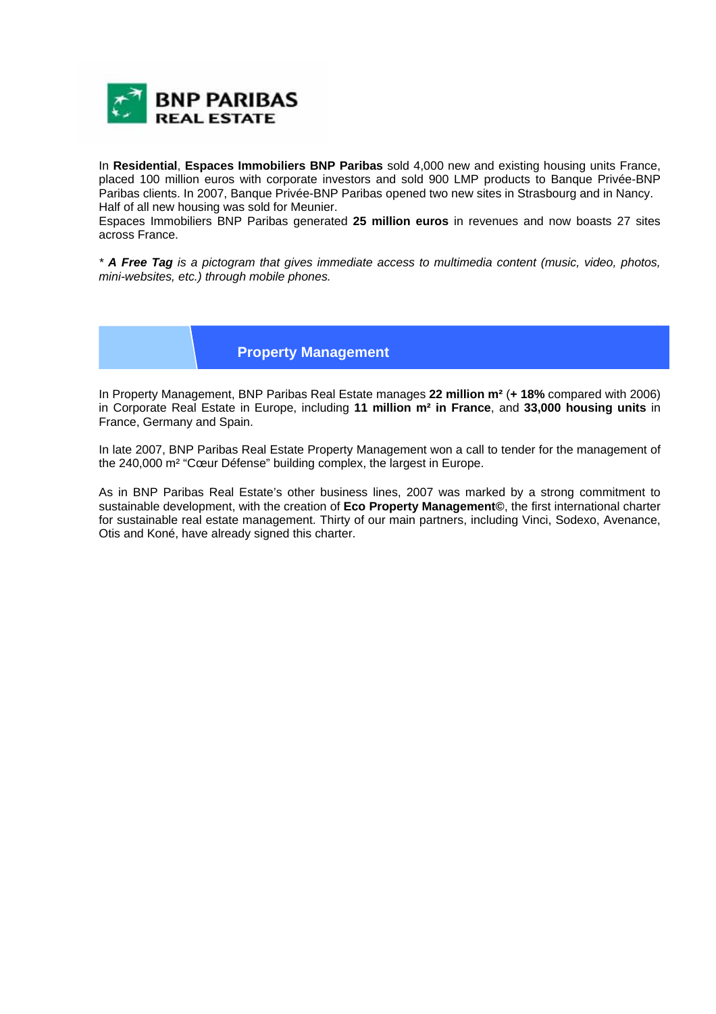

In **Residential**, **Espaces Immobiliers BNP Paribas** sold 4,000 new and existing housing units France, placed 100 million euros with corporate investors and sold 900 LMP products to Banque Privée-BNP Paribas clients. In 2007, Banque Privée-BNP Paribas opened two new sites in Strasbourg and in Nancy. Half of all new housing was sold for Meunier.

Espaces Immobiliers BNP Paribas generated **25 million euros** in revenues and now boasts 27 sites across France.

*\* A Free Tag is a pictogram that gives immediate access to multimedia content (music, video, photos, mini-websites, etc.) through mobile phones.* 

### **Property Management**

In Property Management, BNP Paribas Real Estate manages **22 million m²** (**+ 18%** compared with 2006) in Corporate Real Estate in Europe, including **11 million m² in France**, and **33,000 housing units** in France, Germany and Spain.

In late 2007, BNP Paribas Real Estate Property Management won a call to tender for the management of the 240,000 m² "Cœur Défense" building complex, the largest in Europe.

As in BNP Paribas Real Estate's other business lines, 2007 was marked by a strong commitment to sustainable development, with the creation of **Eco Property Management©**, the first international charter for sustainable real estate management. Thirty of our main partners, including Vinci, Sodexo, Avenance, Otis and Koné, have already signed this charter.